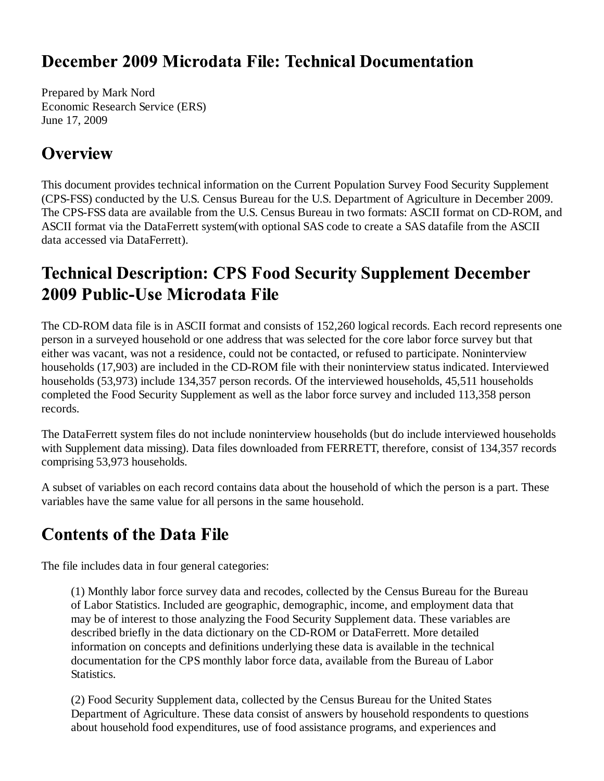#### December 2009 Microdata File: Technical Documentation

Prepared by Mark Nord Economic Research Service (ERS) June 17, 2009

#### **Overview**

This document provides technical information on the Current Population Survey Food Security Supplement (CPS-FSS) conducted by the U.S. Census Bureau for the U.S. Department of Agriculture in December 2009. The CPS-FSS data are available from the U.S. Census Bureau in two formats: ASCII format on CD-ROM, and ASCII format via the DataFerrett system(with optional SAS code to create a SAS datafile from the ASCII data accessed via DataFerrett).

# **Technical Description: CPS Food Security Supplement December** 2009 Public-Use Microdata File

The CD-ROM data file is in ASCII format and consists of 152,260 logical records. Each record represents one person in a surveyed household or one address that was selected for the core labor force survey but that either was vacant, was not a residence, could not be contacted, or refused to participate. Noninterview households (17,903) are included in the CD-ROM file with their noninterview status indicated. Interviewed households (53,973) include 134,357 person records. Of the interviewed households, 45,511 households completed the Food Security Supplement as well as the labor force survey and included 113,358 person records.

The DataFerrett system files do not include noninterview households (but do include interviewed households with Supplement data missing). Data files downloaded from FERRETT, therefore, consist of 134,357 records comprising 53,973 households.

A subset of variables on each record contains data about the household of which the person is a part. These variables have the same value for all persons in the same household.

# **Contents of the Data File**

The file includes data in four general categories:

(1) Monthly labor force survey data and recodes, collected by the Census Bureau for the Bureau of Labor Statistics. Included are geographic, demographic, income, and employment data that may be of interest to those analyzing the Food Security Supplement data. These variables are described briefly in the data dictionary on the CD-ROM or DataFerrett. More detailed information on concepts and definitions underlying these data is available in the technical documentation for the CPS monthly labor force data, available from the Bureau of Labor Statistics.

(2) Food Security Supplement data, collected by the Census Bureau for the United States Department of Agriculture. These data consist of answers by household respondents to questions about household food expenditures, use of food assistance programs, and experiences and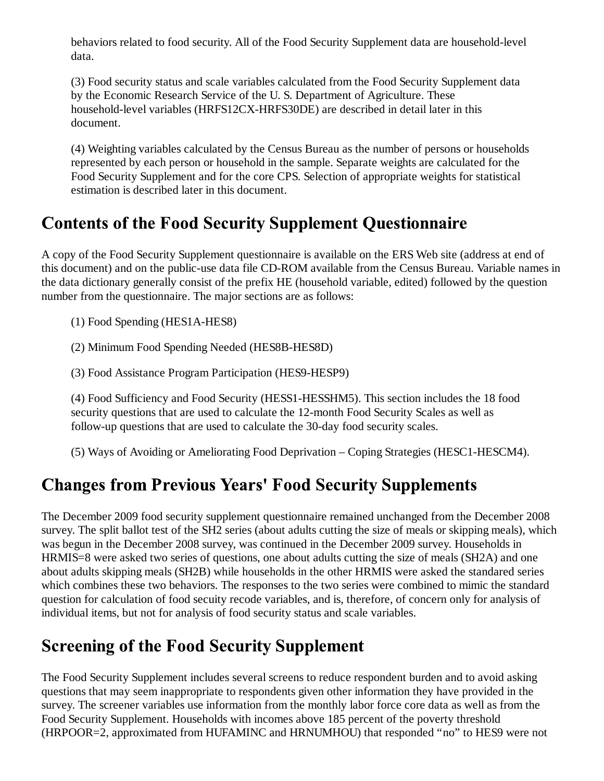behaviors related to food security. All of the Food Security Supplement data are household-level data.

(3) Food security status and scale variables calculated from the Food Security Supplement data by the Economic Research Service of the U. S. Department of Agriculture. These household-level variables (HRFS12CX-HRFS30DE) are described in detail later in this document.

(4) Weighting variables calculated by the Census Bureau as the number of persons or households represented by each person or household in the sample. Separate weights are calculated for the Food Security Supplement and for the core CPS. Selection of appropriate weights for statistical estimation is described later in this document.

## **Contents of the Food Security Supplement Questionnaire**

A copy of the Food Security Supplement questionnaire is available on the ERS Web site (address at end of this document) and on the public-use data file CD-ROM available from the Census Bureau. Variable names in the data dictionary generally consist of the prefix HE (household variable, edited) followed by the question number from the questionnaire. The major sections are as follows:

(1) Food Spending (HES1A-HES8)

(2) Minimum Food Spending Needed (HES8B-HES8D)

(3) Food Assistance Program Participation (HES9-HESP9)

(4) Food Sufficiency and Food Security (HESS1-HESSHM5). This section includes the 18 food security questions that are used to calculate the 12-month Food Security Scales as well as follow-up questions that are used to calculate the 30-day food security scales.

(5) Ways of Avoiding or Ameliorating Food Deprivation – Coping Strategies (HESC1-HESCM4).

# **Changes from Previous Years' Food Security Supplements**

The December 2009 food security supplement questionnaire remained unchanged from the December 2008 survey. The split ballot test of the SH2 series (about adults cutting the size of meals or skipping meals), which was begun in the December 2008 survey, was continued in the December 2009 survey. Households in HRMIS=8 were asked two series of questions, one about adults cutting the size of meals (SH2A) and one about adults skipping meals (SH2B) while households in the other HRMIS were asked the standared series which combines these two behaviors. The responses to the two series were combined to mimic the standard question for calculation of food secuity recode variables, and is, therefore, of concern only for analysis of individual items, but not for analysis of food security status and scale variables.

# **Screening of the Food Security Supplement**

The Food Security Supplement includes several screens to reduce respondent burden and to avoid asking questions that may seem inappropriate to respondents given other information they have provided in the survey. The screener variables use information from the monthly labor force core data as well as from the Food Security Supplement. Households with incomes above 185 percent of the poverty threshold (HRPOOR=2, approximated from HUFAMINC and HRNUMHOU) that responded "no" to HES9 were not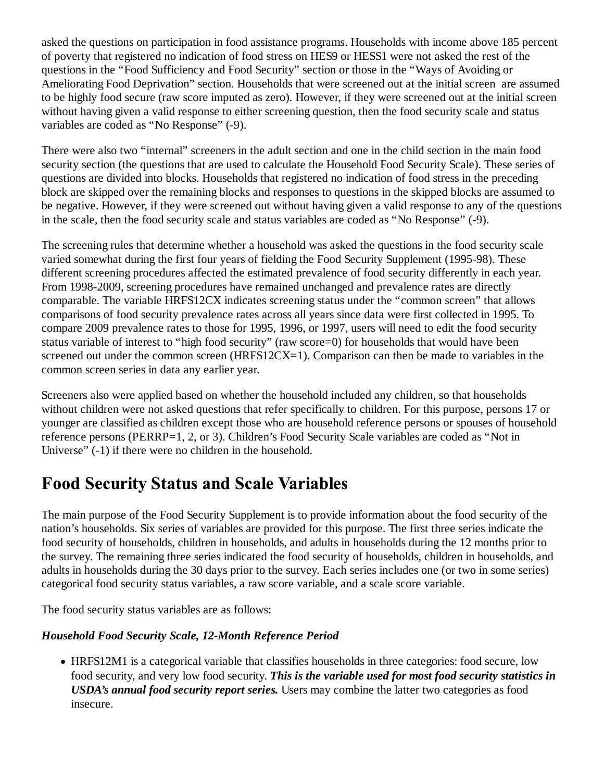asked the questions on participation in food assistance programs. Households with income above 185 percent of poverty that registered no indication of food stress on HES9 or HESS1 were not asked the rest of the questions in the "Food Sufficiency and Food Security" section or those in the "Ways of Avoiding or Ameliorating Food Deprivation" section. Households that were screened out at the initial screen are assumed to be highly food secure (raw score imputed as zero). However, if they were screened out at the initial screen without having given a valid response to either screening question, then the food security scale and status variables are coded as "No Response" (-9).

There were also two "internal" screeners in the adult section and one in the child section in the main food security section (the questions that are used to calculate the Household Food Security Scale). These series of questions are divided into blocks. Households that registered no indication of food stress in the preceding block are skipped over the remaining blocks and responses to questions in the skipped blocks are assumed to be negative. However, if they were screened out without having given a valid response to any of the questions in the scale, then the food security scale and status variables are coded as "No Response" (-9).

The screening rules that determine whether a household was asked the questions in the food security scale varied somewhat during the first four years of fielding the Food Security Supplement (1995-98). These different screening procedures affected the estimated prevalence of food security differently in each year. From 1998-2009, screening procedures have remained unchanged and prevalence rates are directly comparable. The variable HRFS12CX indicates screening status under the "common screen" that allows comparisons of food security prevalence rates across all years since data were first collected in 1995. To compare 2009 prevalence rates to those for 1995, 1996, or 1997, users will need to edit the food security status variable of interest to "high food security" (raw score=0) for households that would have been screened out under the common screen (HRFS12CX=1). Comparison can then be made to variables in the common screen series in data any earlier year.

Screeners also were applied based on whether the household included any children, so that households without children were not asked questions that refer specifically to children. For this purpose, persons 17 or younger are classified as children except those who are household reference persons or spouses of household reference persons (PERRP=1, 2, or 3). Children's Food Security Scale variables are coded as "Not in Universe" (-1) if there were no children in the household.

#### **Food Security Status and Scale Variables**

The main purpose of the Food Security Supplement is to provide information about the food security of the nation's households. Six series of variables are provided for this purpose. The first three series indicate the food security of households, children in households, and adults in households during the 12 months prior to the survey. The remaining three series indicated the food security of households, children in households, and adults in households during the 30 days prior to the survey. Each series includes one (or two in some series) categorical food security status variables, a raw score variable, and a scale score variable.

The food security status variables are as follows:

#### *Household Food Security Scale, 12-Month Reference Period*

HRFS12M1 is a categorical variable that classifies households in three categories: food secure, low food security, and very low food security. *This is the variable used for most food security statistics in USDA's annual food security report series.* Users may combine the latter two categories as food insecure.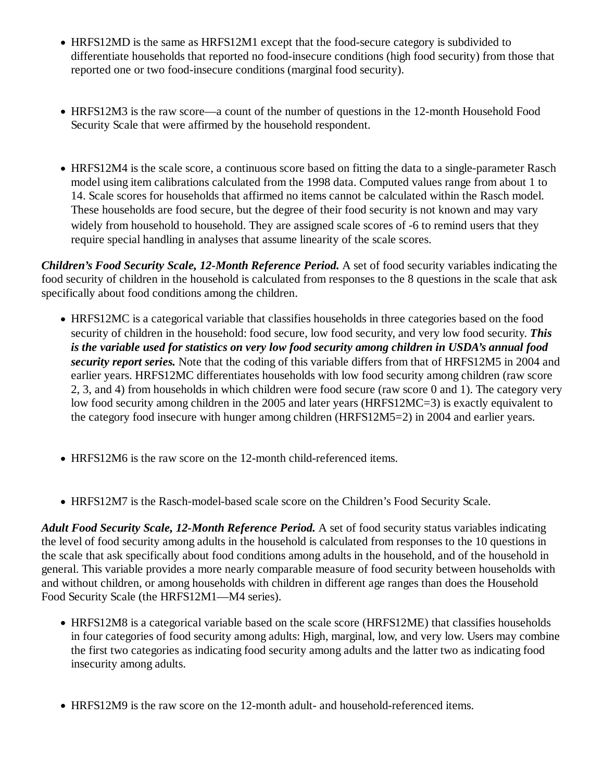- HRFS12MD is the same as HRFS12M1 except that the food-secure category is subdivided to differentiate households that reported no food-insecure conditions (high food security) from those that reported one or two food-insecure conditions (marginal food security).
- HRFS12M3 is the raw score—a count of the number of questions in the 12-month Household Food Security Scale that were affirmed by the household respondent.
- HRFS12M4 is the scale score, a continuous score based on fitting the data to a single-parameter Rasch model using item calibrations calculated from the 1998 data. Computed values range from about 1 to 14. Scale scores for households that affirmed no items cannot be calculated within the Rasch model. These households are food secure, but the degree of their food security is not known and may vary widely from household to household. They are assigned scale scores of -6 to remind users that they require special handling in analyses that assume linearity of the scale scores.

*Children's Food Security Scale, 12-Month Reference Period.* A set of food security variables indicating the food security of children in the household is calculated from responses to the 8 questions in the scale that ask specifically about food conditions among the children.

- HRFS12MC is a categorical variable that classifies households in three categories based on the food security of children in the household: food secure, low food security, and very low food security. *This is the variable used for statistics on very low food security among children in USDA's annual food security report series.* Note that the coding of this variable differs from that of HRFS12M5 in 2004 and earlier years. HRFS12MC differentiates households with low food security among children (raw score 2, 3, and 4) from households in which children were food secure (raw score 0 and 1). The category very low food security among children in the 2005 and later years (HRFS12MC=3) is exactly equivalent to the category food insecure with hunger among children (HRFS12M5=2) in 2004 and earlier years.
- HRFS12M6 is the raw score on the 12-month child-referenced items.
- HRFS12M7 is the Rasch-model-based scale score on the Children's Food Security Scale.

*Adult Food Security Scale, 12-Month Reference Period.* A set of food security status variables indicating the level of food security among adults in the household is calculated from responses to the 10 questions in the scale that ask specifically about food conditions among adults in the household, and of the household in general. This variable provides a more nearly comparable measure of food security between households with and without children, or among households with children in different age ranges than does the Household Food Security Scale (the HRFS12M1—M4 series).

- HRFS12M8 is a categorical variable based on the scale score (HRFS12ME) that classifies households in four categories of food security among adults: High, marginal, low, and very low. Users may combine the first two categories as indicating food security among adults and the latter two as indicating food insecurity among adults.
- HRFS12M9 is the raw score on the 12-month adult- and household-referenced items.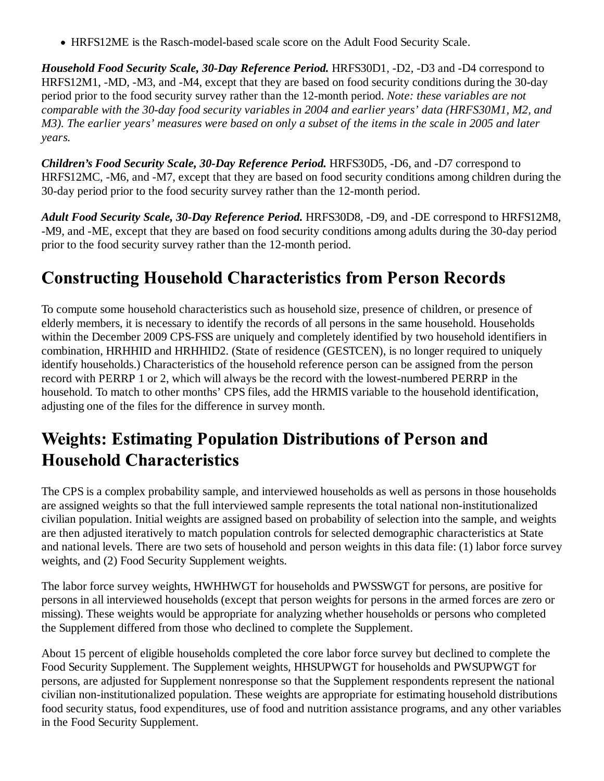HRFS12ME is the Rasch-model-based scale score on the Adult Food Security Scale.

*Household Food Security Scale, 30-Day Reference Period.* HRFS30D1, -D2, -D3 and -D4 correspond to HRFS12M1, -MD, -M3, and -M4, except that they are based on food security conditions during the 30-day period prior to the food security survey rather than the 12-month period. *Note: these variables are not comparable with the 30-day food security variables in 2004 and earlier years' data (HRFS30M1, M2, and M3). The earlier years' measures were based on only a subset of the items in the scale in 2005 and later years.*

*Children's Food Security Scale, 30-Day Reference Period.* HRFS30D5, -D6, and -D7 correspond to HRFS12MC, -M6, and -M7, except that they are based on food security conditions among children during the 30-day period prior to the food security survey rather than the 12-month period.

*Adult Food Security Scale, 30-Day Reference Period.* HRFS30D8, -D9, and -DE correspond to HRFS12M8, -M9, and -ME, except that they are based on food security conditions among adults during the 30-day period prior to the food security survey rather than the 12-month period.

## **Constructing Household Characteristics from Person Records**

To compute some household characteristics such as household size, presence of children, or presence of elderly members, it is necessary to identify the records of all persons in the same household. Households within the December 2009 CPS-FSS are uniquely and completely identified by two household identifiers in combination, HRHHID and HRHHID2. (State of residence (GESTCEN), is no longer required to uniquely identify households.) Characteristics of the household reference person can be assigned from the person record with PERRP 1 or 2, which will always be the record with the lowest-numbered PERRP in the household. To match to other months' CPS files, add the HRMIS variable to the household identification, adjusting one of the files for the difference in survey month.

## **Weights: Estimating Population Distributions of Person and Household Characteristics**

The CPS is a complex probability sample, and interviewed households as well as persons in those households are assigned weights so that the full interviewed sample represents the total national non-institutionalized civilian population. Initial weights are assigned based on probability of selection into the sample, and weights are then adjusted iteratively to match population controls for selected demographic characteristics at State and national levels. There are two sets of household and person weights in this data file: (1) labor force survey weights, and (2) Food Security Supplement weights.

The labor force survey weights, HWHHWGT for households and PWSSWGT for persons, are positive for persons in all interviewed households (except that person weights for persons in the armed forces are zero or missing). These weights would be appropriate for analyzing whether households or persons who completed the Supplement differed from those who declined to complete the Supplement.

About 15 percent of eligible households completed the core labor force survey but declined to complete the Food Security Supplement. The Supplement weights, HHSUPWGT for households and PWSUPWGT for persons, are adjusted for Supplement nonresponse so that the Supplement respondents represent the national civilian non-institutionalized population. These weights are appropriate for estimating household distributions food security status, food expenditures, use of food and nutrition assistance programs, and any other variables in the Food Security Supplement.